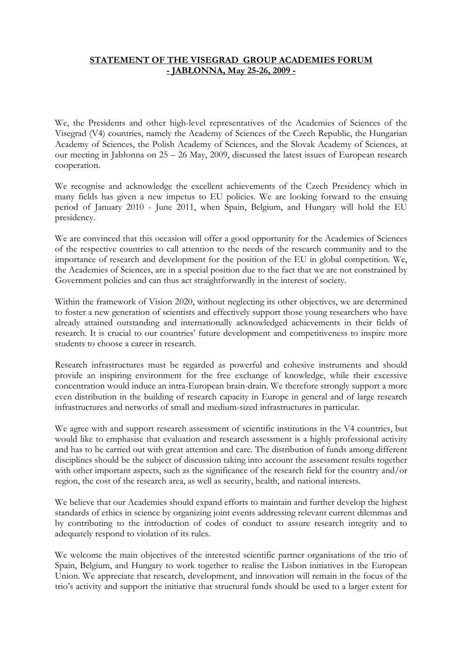## **STATEMENT OF THE VISEGRAD GROUP ACADEMIES FORUM - JABŁONNA, May 25-26, 2009 -**

We, the Presidents and other high-level representatives of the Academies of Sciences of the Visegrad (V4) countries, namely the Academy of Sciences of the Czech Republic, the Hungarian Academy of Sciences, the Polish Academy of Sciences, and the Slovak Academy of Sciences, at our meeting in Jabłonna on 25 – 26 May, 2009, discussed the latest issues of European research cooperation.

We recognise and acknowledge the excellent achievements of the Czech Presidency which in many fields has given a new impetus to EU policies. We are looking forward to the ensuing period of January 2010 - June 2011, when Spain, Belgium, and Hungary will hold the EU presidency.

We are convinced that this occasion will offer a good opportunity for the Academies of Sciences of the respective countries to call attention to the needs of the research community and to the importance of research and development for the position of the EU in global competition. We, the Academies of Sciences, are in a special position due to the fact that we are not constrained by Government policies and can thus act straightforwardly in the interest of society.

Within the framework of Vision 2020, without neglecting its other objectives, we are determined to foster a new generation of scientists and effectively support those young researchers who have already attained outstanding and internationally acknowledged achievements in their fields of research. It is crucial to our countries' future development and competitiveness to inspire more students to choose a career in research.

Research infrastructures must be regarded as powerful and cohesive instruments and should provide an inspiring environment for the free exchange of knowledge, while their excessive concentration would induce an intra-European brain-drain. We therefore strongly support a more even distribution in the building of research capacity in Europe in general and of large research infrastructures and networks of small and medium-sized infrastructures in particular.

We agree with and support research assessment of scientific institutions in the V4 countries, but would like to emphasise that evaluation and research assessment is a highly professional activity and has to be carried out with great attention and care. The distribution of funds among different disciplines should be the subject of discussion taking into account the assessment results together with other important aspects, such as the significance of the research field for the country and/or region, the cost of the research area, as well as security, health, and national interests.

We believe that our Academies should expand efforts to maintain and further develop the highest standards of ethics in science by organizing joint events addressing relevant current dilemmas and by contributing to the introduction of codes of conduct to assure research integrity and to adequately respond to violation of its rules.

We welcome the main objectives of the interested scientific partner organisations of the trio of Spain, Belgium, and Hungary to work together to realise the Lisbon initiatives in the European Union. We appreciate that research, development, and innovation will remain in the focus of the trio's activity and support the initiative that structural funds should be used to a larger extent for